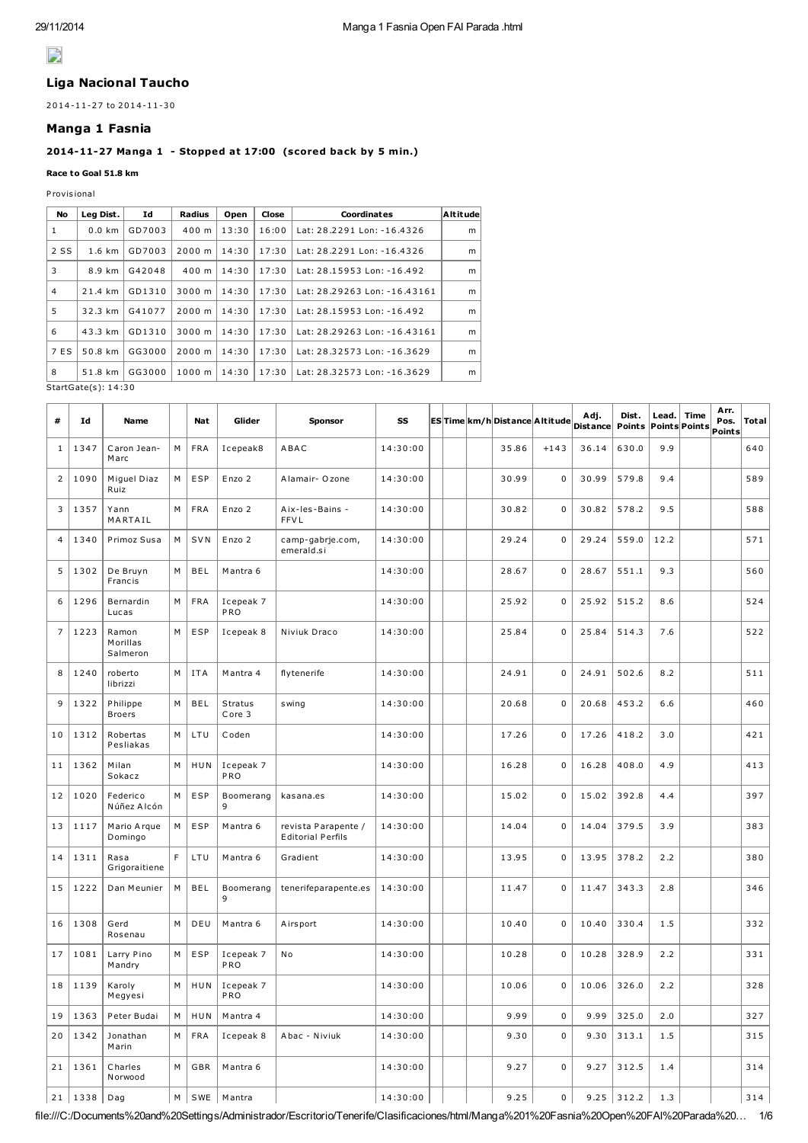# $\mathbf{L}$

# Liga Nacional Taucho

2014-11-27 to 2014-11-30

#### Manga 1 Fasnia

# 2014-11-27 Manga 1 - Stopped at 17:00 (scored back by 5 min.)

#### Race to Goal 51.8 km

P rovis ional

| No   | Leg Dist.           | Id     | Radius | Open  | Close | Coordinates                  | Altitude |
|------|---------------------|--------|--------|-------|-------|------------------------------|----------|
| 1    | $0.0$ km            | GD7003 | 400 m  | 13:30 | 16:00 | Lat: 28.2291 Lon: -16.4326   | m        |
| 2 SS | $1.6 \text{ km}$    | GD7003 | 2000 m | 14:30 | 17:30 | Lat: 28.2291 Lon: -16.4326   |          |
| 3    | 8.9 km              | G42048 | 400 m  | 14:30 | 17:30 | Lat: 28.15953 Lon: -16.492   | m        |
| 4    | 21.4 km             | GD1310 | 3000 m | 14:30 | 17:30 | Lat: 28.29263 Lon: -16.43161 | m        |
| 5    | 32.3 km             | G41077 | 2000 m | 14:30 | 17:30 | Lat: 28.15953 Lon: -16.492   | m        |
| 6    | 43.3 km             | GD1310 | 3000 m | 14:30 | 17:30 | Lat: 28.29263 Lon: -16.43161 | m        |
| 7 ES | 50.8 km             | GG3000 | 2000 m | 14:30 | 17:30 | Lat: 28.32573 Lon: -16.3629  | m        |
| 8    | 51.8 km             | GG3000 | 1000 m | 14:30 | 17:30 | Lat: 28.32573 Lon: -16.3629  | m        |
|      | StartGate(s): 14:30 |        |        |       |       |                              |          |

| #              | Id   | Name                          |   | Nat        | Glider            | Sponsor                                         | SS       |  | ES Time km/h Distance Altitude |             | Adj.<br><b>Distance</b> | Dist.<br>Points | Lead.<br><b>Points Points</b> | Time | Arr.<br>Pos.<br>Points | <b>Total</b> |
|----------------|------|-------------------------------|---|------------|-------------------|-------------------------------------------------|----------|--|--------------------------------|-------------|-------------------------|-----------------|-------------------------------|------|------------------------|--------------|
| 1              | 1347 | Caron Jean-<br>Marc           | М | <b>FRA</b> | Icepeak8          | ABAC                                            | 14:30:00 |  | 35.86                          | $+143$      | 36.14                   | 630.0           | 9.9                           |      |                        | 640          |
| $\overline{2}$ | 1090 | Miquel Diaz<br>Ruiz           | М | ESP        | Enzo 2            | Alamair- O zone                                 | 14:30:00 |  | 30.99                          | $\mathbf 0$ | 30.99                   | 579.8           | 9.4                           |      |                        | 589          |
| 3              | 1357 | Yann<br>MARTAIL               | М | <b>FRA</b> | Enzo 2            | Aix-les-Bains -<br><b>FFVL</b>                  | 14:30:00 |  | 30.82                          | $\mathbf 0$ | 30.82                   | 578.2           | 9.5                           |      |                        | 588          |
| $\overline{4}$ | 1340 | Primoz Susa                   | М | <b>SVN</b> | Enzo 2            | camp-gabrje.com,<br>emerald.si                  | 14:30:00 |  | 29.24                          | $\mathbf 0$ | 29.24                   | 559.0           | 12.2                          |      |                        | 571          |
| 5              | 1302 | De Bruyn<br>Francis           | M | <b>BEL</b> | Mantra 6          |                                                 | 14:30:00 |  | 28.67                          | $\mathbf 0$ | 28.67                   | 551.1           | 9.3                           |      |                        | 560          |
| 6              | 1296 | Bernardin<br>Lucas            | M | <b>FRA</b> | Icepeak 7<br>PRO  |                                                 | 14:30:00 |  | 25.92                          | 0           | 25.92                   | 515.2           | 8.6                           |      |                        | 524          |
| $\overline{7}$ | 1223 | Ramon<br>Morillas<br>Salmeron | M | ESP        | Icepeak 8         | Niviuk Draco                                    | 14:30:00 |  | 25.84                          | $\mathbf 0$ | 25.84                   | 514.3           | 7.6                           |      |                        | 522          |
| 8              | 1240 | roberto<br>librizzi           | М | <b>ITA</b> | Mantra 4          | flytenerife                                     | 14:30:00 |  | 24.91                          | $\mathbf 0$ | 24.91                   | 502.6           | 8.2                           |      |                        | 511          |
| 9              | 1322 | Philippe<br><b>Broers</b>     | М | BEL        | Stratus<br>Core 3 | swing                                           | 14:30:00 |  | 20.68                          | $\mathbf 0$ | 20.68                   | 453.2           | 6.6                           |      |                        | 460          |
| 10             | 1312 | Robertas<br>Pesliakas         | М | LTU        | Coden             |                                                 | 14:30:00 |  | 17.26                          | $\mathbf 0$ | 17.26                   | 418.2           | 3.0                           |      |                        | 421          |
| 11             | 1362 | Milan<br>Sokacz               | M | HUN        | Icepeak 7<br>PRO  |                                                 | 14:30:00 |  | 16.28                          | $\mathbf 0$ | 16.28                   | 408.0           | 4.9                           |      |                        | 413          |
| 12             | 1020 | Federico<br>Núñez Alcón       | M | ESP        | Boomerang<br>9    | kasana.es                                       | 14:30:00 |  | 15.02                          | 0           | 15.02                   | 392.8           | 4.4                           |      |                        | 397          |
| 13             | 1117 | Mario Arque<br>Domingo        | М | ESP        | Mantra 6          | revista Parapente /<br><b>Editorial Perfils</b> | 14:30:00 |  | 14.04                          | $\mathbf 0$ | 14.04                   | 379.5           | 3.9                           |      |                        | 383          |
| 14             | 1311 | Rasa<br>Grigoraitiene         | F | LTU        | Mantra 6          | Gradient                                        | 14:30:00 |  | 13.95                          | $\mathbf 0$ | 13.95                   | 378.2           | 2.2                           |      |                        | 380          |
| 15             | 1222 | Dan Meunier                   | M | <b>BEL</b> | Boomerang<br>9    | tenerifeparapente.es                            | 14:30:00 |  | 11.47                          | $\mathbf 0$ | 11.47                   | 343.3           | 2.8                           |      |                        | 346          |
| 16             | 1308 | Gerd<br>Rosenau               | М | DEU        | Mantra 6          | A irs port                                      | 14:30:00 |  | 10.40                          | 0           | 10.40                   | 330.4           | 1.5                           |      |                        | 332          |
| 17             | 1081 | Larry Pino<br>Mandry          | М | ESP        | Icepeak 7<br>PRO  | N <sub>o</sub>                                  | 14:30:00 |  | 10.28                          | 0           | 10.28                   | 328.9           | 2.2                           |      |                        | 331          |
| 18             | 1139 | Karoly<br>Megyesi             | М | HUN        | Icepeak 7<br>PRO  |                                                 | 14:30:00 |  | 10.06                          | 0           | 10.06                   | 326.0           | 2.2                           |      |                        | 328          |
| 19             | 1363 | Peter Budai                   | М | HUN        | Mantra 4          |                                                 | 14:30:00 |  | 9.99                           | 0           | 9.99                    | 325.0           | 2.0                           |      |                        | 327          |
| 20             | 1342 | Jonathan<br>Marin             | М | <b>FRA</b> | Icepeak 8         | Abac - Niviuk                                   | 14:30:00 |  | 9.30                           | $\mathsf 0$ | 9.30                    | 313.1           | 1.5                           |      |                        | 315          |
| 21             | 1361 | Charles<br>Norwood            | М | GBR        | Mantra 6          |                                                 | 14:30:00 |  | 9.27                           | $\mathbf 0$ | 9.27                    | 312.5           | 1.4                           |      |                        | 314          |
| 21             | 1338 | Dag                           | M | SWE        | Mantra            |                                                 | 14:30:00 |  | 9.25                           | $\mathbf 0$ | 9.25                    | 312.2           | 1.3                           |      |                        | 314          |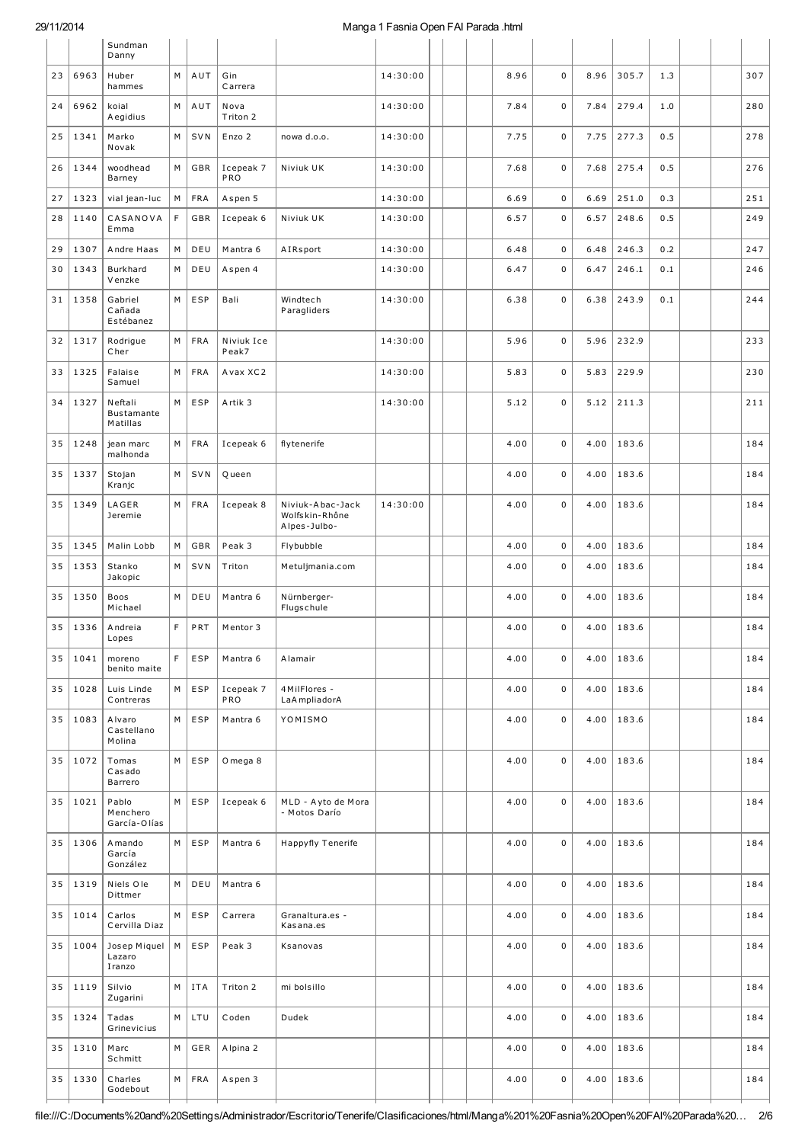### 29/11/2014 Manga 1 Fasnia Open FAI Parada .html

|    |      | Sundman<br>Danny                  |   |            |                     |                                                    |          |  |      |             |      |                |     |  |     |
|----|------|-----------------------------------|---|------------|---------------------|----------------------------------------------------|----------|--|------|-------------|------|----------------|-----|--|-----|
| 23 | 6963 | Huber<br>hammes                   | M | AUT        | Gin<br>Carrera      |                                                    | 14:30:00 |  | 8.96 | $\mathbf 0$ | 8.96 | 305.7          | 1.3 |  | 307 |
| 24 | 6962 | koial<br>Aegidius                 | M | AUT        | Nova<br>Triton 2    |                                                    | 14:30:00 |  | 7.84 | 0           | 7.84 | 279.4          | 1.0 |  | 280 |
| 25 | 1341 | Marko<br>Novak                    | М | <b>SVN</b> | Enzo 2              | nowa d.o.o.                                        | 14:30:00 |  | 7.75 | $\mathbf 0$ | 7.75 | 277.3          | 0.5 |  | 278 |
| 26 | 1344 | woodhead<br>Barney                | M | GBR        | Icepeak 7<br>PRO    | Niviuk UK                                          | 14:30:00 |  | 7.68 | 0           | 7.68 | 275.4          | 0.5 |  | 276 |
| 27 | 1323 | vial jean-luc                     | М | <b>FRA</b> | Aspen 5             |                                                    | 14:30:00 |  | 6.69 | $\mathsf 0$ | 6.69 | 251.0          | 0.3 |  | 251 |
| 28 | 1140 | CASANOVA<br>Emma                  | F | GBR        | Icepeak 6           | Niviuk UK                                          | 14:30:00 |  | 6.57 | 0           | 6.57 | 248.6          | 0.5 |  | 249 |
| 29 | 1307 | Andre Haas                        | М | DEU        | Mantra 6            | AIRsport                                           | 14:30:00 |  | 6.48 | 0           | 6.48 | 246.3          | 0.2 |  | 247 |
| 30 | 1343 | Burkhard<br>Venzke                | М | DEU        | Aspen 4             |                                                    | 14:30:00 |  | 6.47 | 0           | 6.47 | 246.1          | 0.1 |  | 246 |
| 31 | 1358 | Gabriel<br>Cañada<br>Estébanez    | М | <b>ESP</b> | Bali                | Windtech<br>Paragliders                            | 14:30:00 |  | 6.38 | $\mathbf 0$ | 6.38 | 243.9          | 0.1 |  | 244 |
| 32 | 1317 | Rodrigue<br>Cher                  | М | <b>FRA</b> | Niviuk Ice<br>Peak7 |                                                    | 14:30:00 |  | 5.96 | 0           | 5.96 | 232.9          |     |  | 233 |
| 33 | 1325 | Falaise<br>Samuel                 | M | <b>FRA</b> | Avax XC2            |                                                    | 14:30:00 |  | 5.83 | 0           | 5.83 | 229.9          |     |  | 230 |
| 34 | 1327 | Neftali<br>Bustamante<br>Matillas | M | <b>ESP</b> | Artik 3             |                                                    | 14:30:00 |  | 5.12 | $\mathbf 0$ | 5.12 | 211.3          |     |  | 211 |
| 35 | 1248 | jean marc<br>malhonda             | М | <b>FRA</b> | Icepeak 6           | flytenerife                                        |          |  | 4.00 | $\mathbf 0$ | 4.00 | 183.6          |     |  | 184 |
| 35 | 1337 | Stojan<br>Kranjc                  | M | <b>SVN</b> | Queen               |                                                    |          |  | 4.00 | $\mathbf 0$ | 4.00 | 183.6          |     |  | 184 |
| 35 | 1349 | LAGER<br>Jeremie                  | M | <b>FRA</b> | Icepeak 8           | Niviuk-Abac-Jack<br>Wolfskin-Rhône<br>Alpes-Julbo- | 14:30:00 |  | 4.00 | $\mathbf 0$ | 4.00 | 183.6          |     |  | 184 |
| 35 | 1345 | Malin Lobb                        | М | GBR        | Peak 3              | Flybubble                                          |          |  | 4.00 | 0           | 4.00 | 183.6          |     |  | 184 |
| 35 | 1353 | Stanko<br>Jakopic                 | М | <b>SVN</b> | Triton              | Metuljmania.com                                    |          |  | 4.00 | 0           | 4.00 | 183.6          |     |  | 184 |
| 35 | 1350 | Boos<br>Michael                   | М | DEU        | Mantra 6            | Nürnberger-<br>Flugschule                          |          |  | 4.00 | $\mathbf 0$ | 4.00 | 183.6          |     |  | 184 |
| 35 | 1336 | Andreia<br>Lopes                  | F | PRT        | Mentor 3            |                                                    |          |  | 4.00 | 0           | 4.00 | 183.6          |     |  | 184 |
| 35 | 1041 | moreno<br>benito maite            | F | <b>ESP</b> | Mantra 6            | A lamair                                           |          |  | 4.00 | 0           | 4.00 | 183.6          |     |  | 184 |
| 35 | 1028 | Luis Linde<br>Contreras           | М | ESP        | Icepeak 7<br>PRO    | 4MilFlores -<br>LaA mpliadorA                      |          |  | 4.00 | 0           | 4.00 | 183.6          |     |  | 184 |
| 35 | 1083 | Alvaro<br>Castellano<br>Molina    | М | ESP        | Mantra 6            | YOMISMO                                            |          |  | 4.00 | 0           | 4.00 | 183.6          |     |  | 184 |
| 35 | 1072 | Tomas<br>Casado<br>Barrero        | M | ESP        | O mega 8            |                                                    |          |  | 4.00 | 0           | 4.00 | 183.6          |     |  | 184 |
| 35 | 1021 | Pablo<br>Menchero<br>García-Olías | M | ESP        | Icepeak 6           | MLD - Ayto de Mora<br>- Motos Darío                |          |  | 4.00 | 0           |      | $4.00$   183.6 |     |  | 184 |
| 35 | 1306 | A mando<br>García<br>González     | M | ESP        | Mantra 6            | Happyfly Tenerife                                  |          |  | 4.00 | 0           | 4.00 | 183.6          |     |  | 184 |
| 35 | 1319 | Niels Ole<br>Dittmer              | M | DEU        | Mantra 6            |                                                    |          |  | 4.00 | 0           | 4.00 | 183.6          |     |  | 184 |
| 35 | 1014 | Carlos<br>Cervilla Diaz           | М | ESP        | Carrera             | Granaltura.es -<br>Kasana.es                       |          |  | 4.00 | 0           | 4.00 | 183.6          |     |  | 184 |
| 35 | 1004 | Josep Miquel<br>Lazaro<br>Iranzo  | М | ESP        | Peak 3              | Ksanovas                                           |          |  | 4.00 | 0           | 4.00 | 183.6          |     |  | 184 |
| 35 | 1119 | Silvio<br>Zugarini                | М | <b>ITA</b> | Triton 2            | mi bolsillo                                        |          |  | 4.00 | 0           | 4.00 | 183.6          |     |  | 184 |
| 35 | 1324 | Tadas<br>Grinevicius              | М | LTU        | Coden               | Dudek                                              |          |  | 4.00 | 0           | 4.00 | 183.6          |     |  | 184 |
| 35 | 1310 | Marc<br>Schmitt                   | М | GER        | Alpina 2            |                                                    |          |  | 4.00 | 0           | 4.00 | 183.6          |     |  | 184 |
| 35 | 1330 | Charles<br>Godebout               | М | <b>FRA</b> | Aspen 3             |                                                    |          |  | 4.00 | 0           |      | $4.00$   183.6 |     |  | 184 |
|    |      |                                   |   |            |                     |                                                    |          |  |      |             |      |                |     |  |     |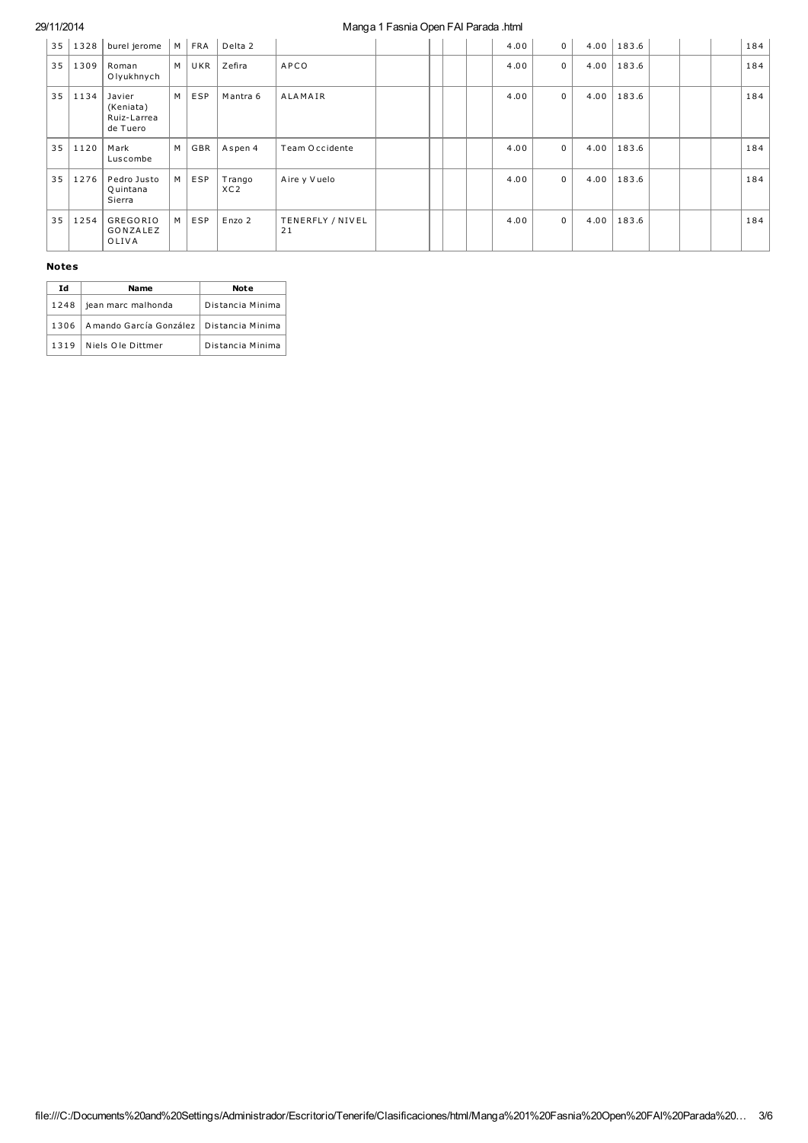# 29/11/2014

#### Manga 1 Fasnia Open FAI Parada .html

| 35 | 1328 | burel jerome                                   | M | FRA | Delta 2                   |                        |  |  | 4.00 | $\mathbf 0$ |      | $4.00 \mid 183.6$ |  | 184 |
|----|------|------------------------------------------------|---|-----|---------------------------|------------------------|--|--|------|-------------|------|-------------------|--|-----|
| 35 | 1309 | Roman<br>Olyukhnych                            | M | UKR | Zefira                    | APCO                   |  |  | 4.00 | $\mathbf 0$ | 4.00 | 183.6             |  | 184 |
| 35 | 1134 | Javier<br>(Keniata)<br>Ruiz-Larrea<br>de Tuero | M | ESP | Mantra 6                  | <b>ALAMAIR</b>         |  |  | 4.00 | $\mathbf 0$ | 4.00 | 183.6             |  | 184 |
| 35 | 1120 | Mark<br>Luscombe                               | M | GBR | Aspen 4                   | Team Occidente         |  |  | 4.00 | $\mathbf 0$ | 4.00 | 183.6             |  | 184 |
| 35 | 1276 | Pedro Justo<br>Q uintana<br>Sierra             | M | ESP | Trango<br>XC <sub>2</sub> | Aire y Vuelo           |  |  | 4.00 | $\mathbf 0$ | 4.00 | 183.6             |  | 184 |
| 35 | 1254 | GREGORIO<br>GONZALEZ<br>OLIVA                  | M | ESP | Enzo 2                    | TENERFLY / NIVEL<br>21 |  |  | 4.00 | $\mathbf 0$ | 4.00 | 183.6             |  | 184 |

#### **Notes**

| Ιd   | <b>Name</b>            | <b>Note</b>      |
|------|------------------------|------------------|
| 1248 | jean marc malhonda     | Distancia Minima |
| 1306 | Amando García González | Distancia Minima |
| 1319 | Niels Ole Dittmer      | Distancia Minima |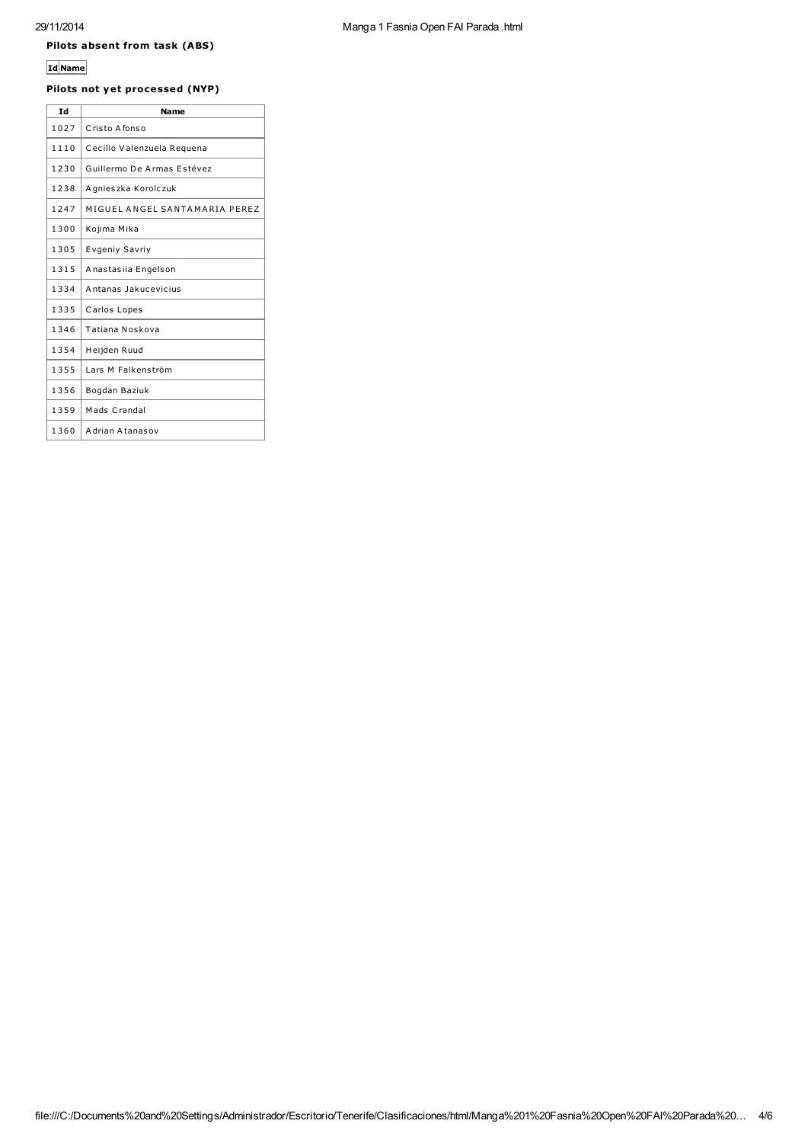# Pilots absent from task (ABS)

# Id Name

# Pilots not yet processed (NYP)

| Тd   | <b>Name</b>                   |
|------|-------------------------------|
| 1027 | Cristo Afonso                 |
| 1110 | Cecilio Valenzuela Requena    |
| 1230 | Guillermo De Armas Estévez    |
| 1238 | Agnieszka Korolczuk           |
| 1247 | MIGUEL ANGEL SANTAMARIA PEREZ |
| 1300 | Kojima Mika                   |
| 1305 | Evgeniy Savriy                |
| 1315 | Anastasiia Engelson           |
| 1334 | Antanas Jakucevicius          |
| 1335 | Carlos Lopes                  |
| 1346 | Tatiana Noskova               |
| 1354 | Heijden Ruud                  |
| 1355 | Lars M Falkenström            |
| 1356 | Bogdan Baziuk                 |
| 1359 | Mads Crandal                  |
| 1360 | Adrian Atanasov               |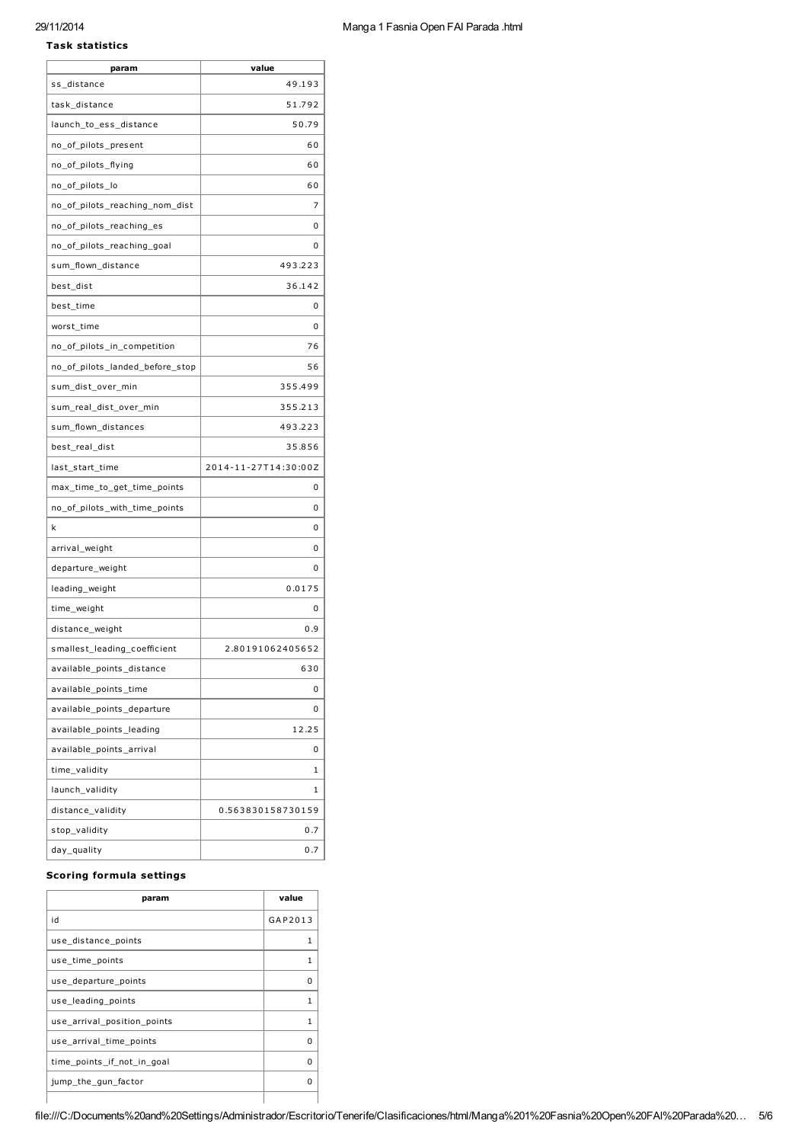#### 29/11/2014

#### Task statistics

| Manga 1 Fasnia Open FAI Parada .html |  |  |  |  |
|--------------------------------------|--|--|--|--|
|--------------------------------------|--|--|--|--|

| param                           | value                |
|---------------------------------|----------------------|
| ss_distance                     | 49.193               |
| task_distance                   | 51.792               |
| launch_to_ess_distance          | 50.79                |
| no_of_pilots_present            | 60                   |
| no_of_pilots_flying             | 60                   |
| no_of_pilots_lo                 | 60                   |
| no_of_pilots_reaching_nom_dist  | 7                    |
| no_of_pilots_reaching_es        | 0                    |
| no_of_pilots_reaching_goal      | 0                    |
| sum_flown_distance              | 493.223              |
| best_dist                       | 36.142               |
| best_time                       | 0                    |
| worst_time                      | 0                    |
| no_of_pilots_in_competition     | 76                   |
| no_of_pilots_landed_before_stop | 56                   |
| sum_dist_over_min               | 355.499              |
| sum_real_dist_over_min          | 355.213              |
| sum_flown_distances             | 493.223              |
| best_real_dist                  | 35.856               |
| last_start_time                 | 2014-11-27T14:30:00Z |
| max_time_to_get_time_points     | 0                    |
| no_of_pilots_with_time_points   | 0                    |
| k                               | 0                    |
| arrival_weight                  | 0                    |
| departure_weight                | 0                    |
| leading_weight                  | 0.0175               |
| time_weight                     | 0                    |
| distance_weight                 | 0.9                  |
| smallest_leading_coefficient    | 2.80191062405652     |
| available_points_distance       | 630                  |
| available_points_time           | 0                    |
| available_points_departure      | 0                    |
| available_points_leading        | 12.25                |
| available_points_arrival        | 0                    |
| time_validity                   | 1                    |
| launch_validity                 | 1                    |
| distance_validity               | 0.563830158730159    |
| stop_validity                   | 0.7                  |
| day_quality                     | 0.7                  |

### Scoring formula settings

| param                       | value   |
|-----------------------------|---------|
| id                          | GAP2013 |
| use distance points         | 1       |
| use_time_points             | 1       |
| use departure points        | ŋ       |
| use leading points          | 1       |
| use arrival position points | 1       |
| use_arrival_time_points     | ŋ       |
| time_points_if_not_in_goal  | ŋ       |
| jump_the_gun_factor         | n       |
|                             |         |

file:///C:/Documents%20and%20Settings/Administrador/Escritorio/Tenerife/Clasificaciones/html/Manga%201%20Fasnia%20Open%20FAI%20Parada%20… 5/6